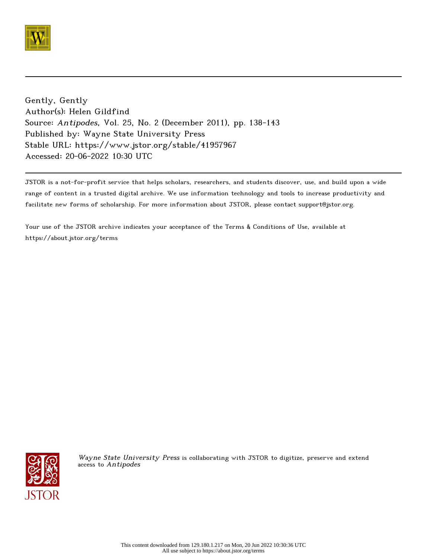

Gently, Gently Author(s): Helen Gildfind Source: Antipodes, Vol. 25, No. 2 (December 2011), pp. 138-143 Published by: Wayne State University Press Stable URL: https://www.jstor.org/stable/41957967 Accessed: 20-06-2022 10:30 UTC

JSTOR is a not-for-profit service that helps scholars, researchers, and students discover, use, and build upon a wide range of content in a trusted digital archive. We use information technology and tools to increase productivity and facilitate new forms of scholarship. For more information about JSTOR, please contact support@jstor.org.

Your use of the JSTOR archive indicates your acceptance of the Terms & Conditions of Use, available at https://about.jstor.org/terms



Wayne State University Press is collaborating with JSTOR to digitize, preserve and extend access to Antipodes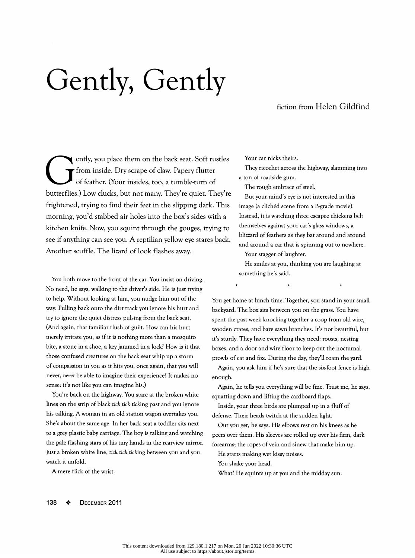## Gently, Gently

## fiction from Helen Gildfind

ently, you place them on the back seat. Soft rustles from inside. Dry scrape of claw. Papery flutter of feather, (Your montes, too, a tumble-turn of butterflies,) Low clucks, but not many. They're quiet. They're frightened, trying to find their feet in the slipping dark. This morning, you'd stabbed air holes into the box's sides with a kitchen knife. Now, you squint through the gouges, trying to see if anything can see you. A reptilian yellow eye stares back. Another scuffle. The lizard of look flashes away.

 You both move to the front of the car. You insist on driving. No need, he says, walking to the driver's side. He is just trying to help. Without looking at him, you nudge him out of the way. Pulling back onto the dirt track you ignore his hurt and try to ignore the quiet distress pulsing from the back seat. (And again, that familiar flush of guilt. How can his hurt merely irritate you, as if it is nothing more than a mosquito bite, a stone in a shoe, a key jammed in a lock? How is it that those confused creatures on the back seat whip up a storm of compassion in you as it hits you, once again, that you will never, never be able to imagine their experience? It makes no sense: it's not like you can imagine his.)

 You're back on the highway. You stare at the broken white lines on the strip of black tick tick ticking past and you ignore his talking. A woman in an old station wagon overtakes you. She's about the same age. In her back seat a toddler sits next to a grey plastic baby carriage. The boy is talking and watching the pale flashing stars of his tiny hands in the rearview mirror. Just a broken white line, tick tick ticking between you and you watch it unfold.

A mere flick of the wrist.

Your car nicks theirs.

 They ricochet across the highway, slamming into a ton of roadside gum.

The rough embrace of steel.

 But your mind's eye is not interested in this image (a clichéd scene from a B-grade movie). Instead, it is watching three escapee chickens belt themselves against your car's glass windows, a blizzard of feathers as they bat around and around and around a car that is spinning out to nowhere.

Your stagger of laughter.

 He smiles at you, thinking you are laughing at something he's said. He smiles at you, thinking you are laug<br>something he's said.<br> $*$  \*

ing to<br>
ing to<br>
blizzard of feathers as they bat around and around<br>
and around a car that is spinning out to nowhere.<br>
Your stagger of laughter.<br>
He smiles at you, thinking you are laughing at<br>
something he's said.<br>
\* \* \* wooden crates, and bare sawn branches. It's not beautiful, but blizzard of feathers as they bat around and around<br>and around a car that is spinning out to nowhere.<br>Your stagger of laughter.<br>He smiles at you, thinking you are laughing at<br>something he's said.<br> $\star$   $\star$   $\star$   $\star$ <br>You get and around a car that is spinning out to nowhere.<br>
Your stagger of laughter.<br>
He smiles at you, thinking you are laughing at<br>
something he's said.<br>
\*<br>
\*<br>
You get home at lunch time. Together, you stand in your small<br>
backy boxes, and a door and wire floor to keep out the nocturnal Fre smiles at you, thinking you are laughing at<br>something he's said.<br><br><br><br><br><br>You get home at lunch time. Together, you stand in your small<br><br><br>backyard. The box sits between you on the grass. You have<br>spent the past week knocki <sup>\*</sup><br>You get home at lunch time. Together, you stand in your small<br>backyard. The box sits between you on the grass. You have<br>spent the past week knocking together a coop from old wire,<br>wooden crates, and bare sawn branches. ou get home at lunch time. Together, you stand in your small<br>ckyard. The box sits between you on the grass. You have<br>ent the past week knocking together a coop from old wire,<br>poden crates, and bare sawn branches. It's not

enough.

 Again, he tells you everything will be fine. Trust me, he says, squatting down and lifting the cardboard flaps.

 Inside, your three birds are plumped up in a fluff of defense. Their heads twitch at the sudden light.

 Out you get, he says. His elbows rest on his knees as he peers over them. His sleeves are rolled up over his firm, dark forearms; the ropes of vein and sinew that make him up.

He starts making wet kissy noises.

You shake your head.

What? He squints up at you and the midday sun.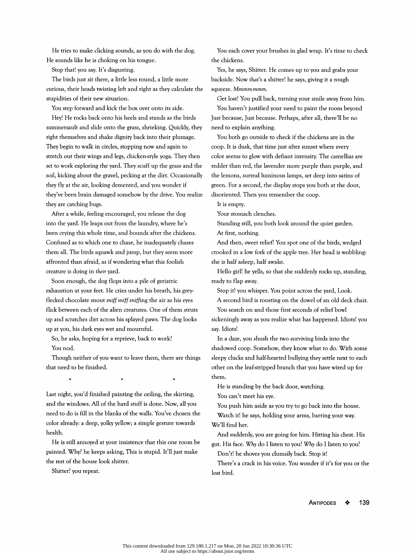He tries to make clicking sounds, as you do with the dog. He sounds like he is choking on his tongue.

Stop that! you say. It's disgusting.

 The birds just sit there, a little less round, a little more curious, their heads twisting left and right as they calculate the stupidities of their new situation.

You step forward and kick the box over onto its side.

 Hey! He rocks back onto his heels and stands as the birds summersault and slide onto the grass, shrieking. Quickly, they right themselves and shake dignity back into their plumage. They begin to walk in circles, stopping now and again to stretch out their wings and legs, chicken-style yoga. They then set to work exploring the yard. They scuff up the grass and the soil, kicking about the gravel, pecking at the dirt. Occasionally they fly at the air, looking demented, and you wonder if they've been brain damaged somehow by the drive. You realize they are catching bugs.

 After a while, feeling encouraged, you release the dog into the yard. He leaps out from the laundry, where he's been crying this whole time, and bounds after the chickens. Confused as to which one to chase, he inadequately chases them all. The birds squawk and jump, but they seem more affronted than afraid, as if wondering what this foolish creature is doing in their yard.

 Soon enough, the dog flops into a pile of geriatric exhaustion at your feet. He cries under his breath, his grey flecked chocolate snout sniff sniff sniffing the air as his eyes flick between each of the alien creatures. One of them struts up and scratches dirt across his splayed paws. The dog looks up at you, his dark eyes wet and mournful.

 So, he asks, hoping for a reprieve, back to work? You nod.

 Though neither of you want to leave them, there are things that need to be finished. h neither of you want to leave them, there<br>to be finished.<br>\* \* \* \* \* \*

Nou nod.<br>
Though neither of you want to leave them, there are things<br>
in the secopy clucks and half-hearted bullying they settle next to each<br>
that need to be finished.<br>
<br>
Last night, you'd finished painting the ceiling, t health. Though neither of you want to leave them, there are things<br>
that need to be finished.<br>
that need to be finished.<br>
the is standing by the back door, watching.<br>
Last night, you'd finished painting the ceiling, the skirting,<br>

 He is still annoyed at your insistence that this one room be painted. Why? he keeps asking, This is stupid. It'll just make the rest of the house look shitter.

Shitter? you repeat.

 You each cover your brushes in glad wrap. It's time to check the chickens.

 Yes, he says, Shitter. He comes up to you and grabs your backside. Now that's a shitter! he says, giving it a rough squeeze. Mmmm-mmm.

Get lost! You pull back, turning your smile away from him.

 You haven't justified your need to paint the room beyond Just because, Just because. Perhaps, after all, there'll be no need to explain anything.

 You both go outside to check if the chickens are in the coop. It is dusk, that time just after sunset where every color seems to glow with defiant intensity. The camellias are redder than red, the lavender more purple than purple, and the lemons, surreal luminous lamps, set deep into satins of green. For a second, the display stops you both at the door, disoriented. Then you remember the coop.

It is empty.

say. Idiots!

Your stomach clenches.

Standing still, you both look around the quiet garden.

At first, nothing.

 And then, sweet relief! You spot one of the birds, wedged crooked in a low fork of the apple tree. Her head is wobbling: she is half asleep, half awake.

 Hello girl! he yells, so that she suddenly rocks up, standing, ready to flap away.

Stop it! you whisper. You point across the yard, Look.

 A second bird is roosting on the dowel of an old deck chair. You search on and those first seconds of relief bowl sickeningly away as you realize what has happened. Idiots! you

and the windows. All of the band stuff is done. Now, all you<br>cope all of the working birds into the shadowed coop. Somehow, they know what to do. With some<br>that need to be finished.<br>
that need to be finished.<br>
the is stand Up at you, his dark eyes wet and mournful.<br>
So, he asks, hoping for a reprieve, back to work?<br>
The adaze, you shush the two surviving birds into the<br>
You nod.<br>
Though neither of you want to leave them, there are things<br>
Th In a daze, you shush the two surviving birds into the shadowed coop. Somehow, they know what to do. With some sleepy clucks and half-hearted bullying they settle next to each other on the leaf-stripped branch that you have wired up for them.

He is standing by the back door, watching.

You can't meet his eye.

 You push him aside as you try to go back into the house. Watch it! he says, holding your arms, barring your way. We'll find her.

 And suddenly, you are going for him. Hitting his chest. His gut. His face. Why do I listen to you? Why do I listen to you?

Don't! he shoves you clumsily back. Stop it!

 There's a crack in his voice. You wonder if it's for you or the lost bird.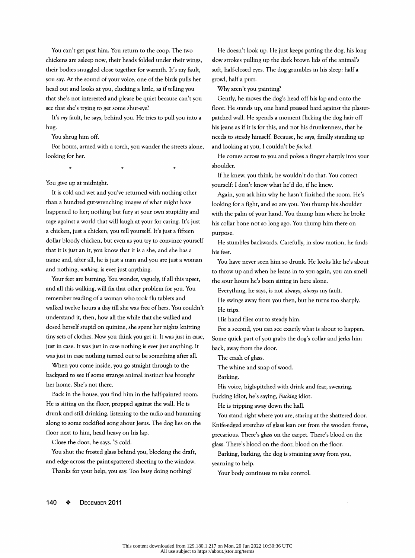You can't get past him. You return to the coop. The two chickens are asleep now, their heads folded under their wings, their bodies snuggled close together for warmth. It's my fault, you say. At the sound of your voice, one of the birds pulls her head out and looks at you, clucking a little, as if telling you that she's not interested and please be quiet because can't you see that she's trying to get some shut-eye?

 It's my fault, he says, behind you. He tries to pull you into a hug.

You shrug him off.

 For hours, armed with a torch, you wander the streets alone\* looking for her. The surs, armed with a torch, you wander the st<br>or her.<br> $*$  \* \* \*

To us thrughim off.<br>
To us than a torch, you wander the streets alone,<br>  $\begin{array}{lllllllllllllllllllll} \end{array}$  and looking at you, I couldn't be fucked.<br>
looking for her.<br>
He comes across to you and pokes a finger sharply into your sho For hours, armed with a torch, you wander the streets alone,<br>
looking at you, I couldn't be fucked.<br>
looking for her.<br>
<br>
He comes across to you and pokes a finger sharply into your<br>
shoulder.<br>
<br>
It is cold and wet and you' radio and pokes a finger sharply into your shoulder.<br>
You give up at midnight.<br>
You give up at midnight.<br>
You give up at midnight.<br>
It is cold and wet and you've returned with nothing other<br>
It is cold and wet and you've r a chicken, just a chicken, you think it is a she, and she has a<br>that it is cold and wet and you've returned with nothing other<br>than a hundred gut-wrenching images of what might have<br>than a hundred gut-wrenching images of w For the knew, you think, he wouldn't do that. You correct<br>
loon't is cold and wet and you've returned with nothing other<br>
loon't know what he'd do, if he knew.<br>
than a hundred gut-wrenching images of what might have<br>
happe You give up at midnight.<br>
You give up at midnight.<br>
It is cold and wet and you've returned with nothing other<br>
than a hundred gut-wrenching images of what might have<br>
than a hundred gut-wrenching images of what might have<br> From the incompose.<br>
It is cold and wet and you've returned with nothing other<br>
than a hundred gut-wrenching images of what might have<br>
than a hundred gut-wrenching images of what might have<br>
looking for a fight, and so ar than a hundred gut-wrenching images of what might have<br>
happened to her; nothing but fury at your own stupidity and<br>
happened to her; nothing but fury at your own stupidity and<br>
range against a world that will laugh at you rage against a world that will laugh at your for caring. It's just<br>
a chicken, just a chicken, you tell yourself. It's just a fifteen<br>
dollar bloody chicken, you tell yourself. It's just a fifteen<br>
dollar bloody chicken, b ppened to her; nothing but fury at your own stupidity and<br>
ge against a world that will laugh at your for caring. It's just<br>
this collar bone not so long ago. You thump him there on<br>
chicken, just a chicken, you tell yours a chicken, just a chicken, you tell yourself. It's just a fifteen<br>dollar bloody chicken, but even as you try to convince yourself<br>dollar bloody chicken, but even as you try to convince yourself<br>that it is just an it, you k

dollar bloody chicken, but even as you try to convince yourself<br>that it is just an it, you know that it is a she, and she has a<br>his feet.<br>name and, after all, he is just a man and you are just a woman<br>and nothing, nothing, From the sour feet are burning. You wonder, vaguely, if all this upset,<br>
and all this walking, will fix that other problem for you. You<br>
In any the sour hours he's been sitting in here alone.<br>
For a second, bou then, but h that it is just an it, you know that it is a she, and she has a<br>
his feet.<br>
name and, after all, he is just a man and you are just a woman<br>
or fou have never seen him so drunk. He looks like he's about<br>
and nothing, nothin name and, after all, he is just a man and you are just a woman<br>
or fou have never seen him so drunk. He looks like he's about<br>
and nothing, nothing, is ever just anything.<br>
You wonder, vaguely, if all this upset,<br>
and when and nothing, nothing, is ever just anything.<br>
You wonder, vaguely, if all this upset,<br>
and when he leans in to you again, you can smell<br>
You feet are burning. You wonder, vaguely, if all this upset,<br>
and all this walking, and all this walking, will fix that other problem for you. You<br>
Feverything, he says, is not always, always my fault.<br>
remember reading of a woman who took flu tablets and<br>
Walked twelve hours a day till she was free of he walked twelve hours a day till she was free of hers. You couldn't<br>
the trips.<br>
understand it, then, how all the while that she walked and<br>
this hand flies out to steady him.<br>
dosed herself stupid on quinine, she spent her member reading of a woman who took flu tablets and<br>
liked twelve hours a day till she was free of hers. You couldn't<br>
He swings away from you then, but he turns too sharply.<br>
liked twelve hours a day till she was free of h understand it, then, how all the while that she walked and<br>
this hand flies out to steady him.<br>
dosed herself stupid on quinine, she spent her nights knitting<br>
for a second, you can see exactly what is about to happen.<br>
ti sed herself stupid on quinine, she spent her nights knitting<br>
Back in the source steady min:<br>
Show you think you get it. It was just in case,<br>
Show the spent in the door.<br>
Show you think you get it. It was just in case,<br>
S

tiny sets of clothes. Now you think you get it. It was just in case,<br>
you assecution, you can see exactly what is about to nappen.<br>
just in case. It was just in case nothing is ever just anything. It<br>
was just in case noth derived and still drinking is ever just anything. It<br>was just in case nothing is ever just anything. It<br>was just in case nothing turned out to be something after all.<br>When you come inside, you go straight through to the<br>de back, away not the ecool.<br>
Was just in case nothing turned out to be something after all.<br>
When you come inside, you go straight through to the<br>
backyard to see if some strange animal instinct has brought<br>
backyard to see When you come inside, you go straight through to the The whim and snap of wood.<br>
backyard to see if some strange animal instinct has brought<br>
her home. She's not there.<br>
His voice, high-pitched with drink and fear, swearin Frome. She's not there. His voice, high-pitched with drink and fear, swearing.<br>
Back in the house, you find him in the half-painted room.<br>
Fucking idiot, he's saying, Fucking idiot.<br>
It is writing on the floor, propped aga when and snap of wood.<br>
Except instance, you go stangent intought of the whine and snap of wood.<br>
Except in the house, you find him in the half-painted room.<br>
This voice, high-pitched with drink and fear, swearing.<br>
The sa Back in the house, you find him in the half-painted room.<br>
He is sitting on the floor, propped against the wall. He is<br>
He is tripping idoor, he hall.<br>
drunk and still drinking, listening to the radio and humming<br>  $\frac{1}{2}$ is is sitting on the floor, propped against the wall. He is<br>
Unk and still drinking, listening to the radio and humming<br>
Tou stand right where you are, staring at the shattered door.<br>
Son some rockified song about Jesus. T

 He doesn't look up. He just keeps patting the dog, his long slow strokes pulling up the dark brown lids of the animal's soft, half-closed eyes. The dog grumbles in his sleep: half a growl, half a purr.

Why aren't you painting?

Examples and present into the states up tool: The states up, one hand present interview into the state of the states with the space particle interview intervent fielding the dopa hair of the streets alone, this jeans as if It is cold and wet and you've returned with nothing other<br>
It is colonized with a torch, you wander the streets alone,<br>
It is ignass as if it is for this, and not his drunkenness, that he<br>
It is cold and wet and tooch, you Gently, he moves the dog's head off his lap and onto the floor. He stands up, one hand pressed hard against the plaster patched wall. He spends a moment flicking the dog hair off his jeans as if it is for this, and not his drunkenness, that he needs to steady himself. Because, he says, finally standing up and looking at you, I couldn't be fucked.

 He comes across to you and pokes a finger sharply into your shoulder.

 If he knew, you think, he wouldn't do that. You correct yourself: I don't know what he'd do, if he knew.

 Again, you ask him why he hasn't finished the room. He's looking for a fight, and so are you. You thump his shoulder with the palm of your hand. You thump him where he broke his collar bone not so long ago. You thump him there on purpose.

 He stumbles backwards. Carefully, in slow motion, he finds his feet.

 You have never seen him so drunk. He looks like he's about to throw up and when he leans in to you again, you can smell the sour hours he's been sitting in here alone.

Everything, he says, is not always, always my fault.

 He swings away from you then, but he turns too sharply. He trips.

His hand flies out to steady him.

 For a second, you can see exactly what is about to happen. Some quick part of you grabs the dog's collar and jerks him back, away from the door.

The crash of glass.

The whine and snap of wood.

Barking.

 His voice, high-pitched with drink and fear, swearing. Fucking idiot, he's saying, Fucking idiot.

He is tripping away down the hall.

 You stand right where you are, staring at the shattered door. Knife-edged stretches of glass lean out from the wooden frame, precarious. There's glass on the carpet. There's blood on the glass. There's blood on the door, blood on the floor.

 Barking, barking, the dog is straining away from you, yearning to help.

Your body continues to take control.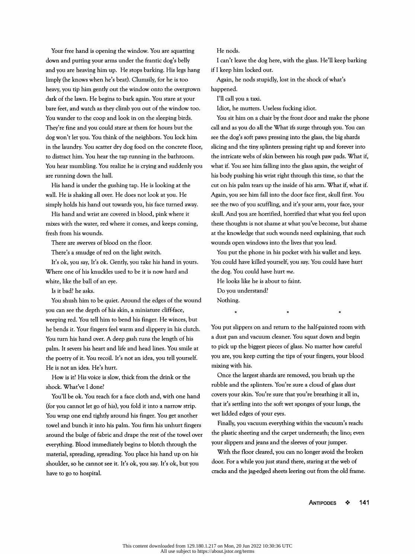Your free hand is opening the window. You are squatting down and putting your arms under the frantic dog's belly and you are heaving him up. He stops barking. His legs hang limply (he knows when he's beat). Clumsily, for he is too heavy, you tip him gently out the window onto the overgrown dark of the lawn. He begins to bark again. You stare at your bare feet, and watch as they climb you out of the window too. You wander to the coop and look in on the sleeping birds. They're fine and you could stare at them for hours but the dog won't let you. You think of the neighbors. You lock him in the laundry. You scatter dry dog food on the concrete floor, to distract him. You hear the tap running in the bathroom. You hear mumbling. You realize he is crying and suddenly you are running down the hall.

 His hand is under the gushing tap. He is looking at the wall. He is shaking all over. He does not look at you. He simply holds his hand out towards you, his face turned away.

 His hand and wrist are covered in blood, pink where it mixes with the water, red where it comes, and keeps coming, fresh from his wounds.

There are swerves of blood on the floor.

There's a smudge of red on the light switch.

 It's ok, you say, It's ok. Gently, you take his hand in yours. Where one of his knuckles used to be it is now hard and white, like the ball of an eye.

Is it bad? he asks.

 You shush him to be quiet. Around the edges of the wound you can see the depth of his skin, a miniature cliff-face, weeping red. You tell him to bend his finger. He winces, but he bends it. Your fingers feel warm and slippery in his clutch. You turn his hand over. A deep gash runs the length of his palm. It severs his heart and life and head lines. You smile at the poetry of it. You recoil. It's not an idea, you tell yourself. He is not an idea. He's hurt.

 How is it? His voice is slow, thick from the drink or the shock. What've I done?

 You'll be ok. You reach for a face cloth and, with one hand (for you cannot let go of his), you fold it into a narrow strip. You wrap one end tightly around his finger. You get another towel and bunch it into his palm. You firm his unhurt fingers around the bulge of fabric and drape the rest of the towel over everything. Blood immediately begins to blotch through the material, spreading, spreading. You place his hand up on his shoulder, so he cannot see it. It's ok, you say. It's ok, but you have to go to hospital.

He nods.

 I can't leave the dog here, with the glass. He'll keep barking if I keep him locked out.

 Again, he nods stupidly, lost in the shock of what's happened.

I'll call you a taxi.

Idiot, he mutters. Useless fucking idiot.

 You sit him on a chair by the front door and make the phone call and as you do all the What ifs surge through you. You can see the dog's soft paws pressing into the glass, the big shards slicing and the tiny splinters pressing right up and forever into the intricate webs of skin between his rough paw pads. What if, what if. You see him falling into the glass again, the weight of his body pushing his wrist right through this time, so that the cut on his palm tears up the inside of his arm. What if, what if. Again, you see him fall into the door face first, skull first. You see the two of you scuffling, and it's your arm, your face, your skull. And you are horrified, horrified that what you feel upon these thoughts is not shame at what you've become, but shame at the knowledge that such wounds need explaining, that such wounds open windows into the lives that you lead.

 You put the phone in his pocket with his wallet and keys. You could have killed yourself, you say. You could have hurt the dog. You could have hurt me.

 He looks like he is about to faint. Do you understand? Nothing. example to the term of the term of the term of the term of the term of the term of the term of the term of the<br>  $\star$ 

You could have killed yourself, you say. You could have hurt<br>the dog. You could have hurt me.<br>He looks like he is about to faint.<br>Do you understand?<br>Nothing.<br> $*$ <br>You put slippers on and return to the half-painted room with Do you understand?<br>
You put slippers on and return to the half-painted room with<br>
a dust pan and vacuum cleaner. You squat down and begin<br>
to pick up the biggest pieces of glass. No matter how careful<br>
you are, you keep cu a dust pan and vacuum cleaner. You squat down and begin to pick up the biggest pieces of glass. No matter how careful mixing with his. rubble and the splinters. You're sure a cloud of glass dust A soliting.<br>
A summer was a straight shares are removed, we have the largest pieces of glass. No matter how careful<br>
u are, you keep cutting the tips of your fingers, your blood<br>
sting with his.<br>
Once the largest shards ar You put slippers on and return to the half-painted room with<br>a dust pan and vacuum cleaner. You squat down and begin<br>to pick up the biggest pieces of glass. No matter how careful<br>you are, you keep cutting the tips of your

to pick up the biggest pieces of glass. No matter how careful<br>you are, you keep cutting the tips of your fingers, your blood<br>mixing with his.<br>Once the largest shards are removed, you brush up the<br>rubble and the splinters. a dust pan and vacuum cleaner. You squat down and begin<br>to pick up the biggest pieces of glass. No matter how careful<br>you are, you keep cutting the tips of your fingers, your blood<br>mixing with his.<br>Once the largest shards mixing with his.<br>
Once the largest shards are removed, you brush up the<br>
rubble and the splinters. You're sure a cloud of glass dust<br>
covers your skin. You're sure that you're breathing it all in,<br>
that it's settling into u are, you keep cutting the tips of your fingers, your blood<br>xing with his.<br>Once the largest shards are removed, you brush up the<br>bble and the splinters. You're sure a cloud of glass dust<br>vers your skin. You're sure that y Once the largest shards are removed, you brush up the<br>rubble and the splinters. You're sure a cloud of glass dust<br>covers your skin. You're sure that you're breathing it all in,<br>that it's settling into the soft wet sponges covers your skin. You're sure that you're breathing it all in,<br>that it's settling into the soft wet sponges of your lungs, the<br>wet lidded edges of your eyes.<br>Finally, you vacuum everything within the vacuum's reach:<br>the pl bble and the splinters. You're sure a cloud of glass dust<br>vers your skin. You're sure that you're breathing it all in,<br>at it's settling into the soft wet sponges of your lungs, the<br>t lidded edges of your eyes.<br>Finally, you

that it's settling into the soft wet sponges of your lungs, the<br>wet lidded edges of your eyes.<br>Finally, you vacuum everything within the vacuum's reach:<br>the plastic sheeting and the carpet underneath; the lino; even<br>your s

Antipodes ♦ 141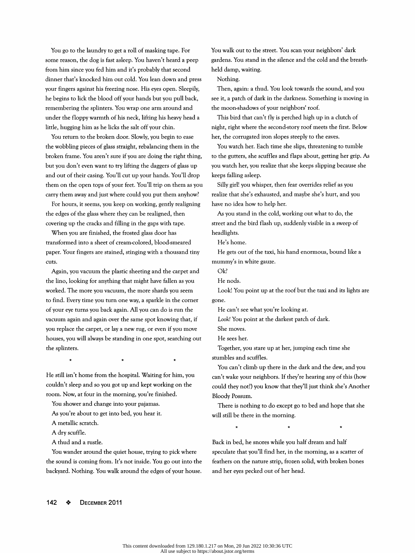You go to the laundry to get a roll of masking tape. For some reason, the dog is fast asleep. You haven't heard a peep from him since you fed him and it's probably that second dinner that's knocked him out cold. You lean down and press your fingers against his freezing nose. His eyes open. Sleepily, he begins to lick the blood off your hands but you pull back, remembering the splinters. You wrap one arm around and under the floppy warmth of his neck, lifting his heavy head a little, hugging him as he licks the salt off your chin.

 You return to the broken door. Slowly, you begin to ease the wobbling pieces of glass straight, rebalancing them in the broken frame. You aren't sure if you are doing the right thing, but you don't even want to try lifting the daggers of glass up and out of their casing. You'll cut up your hands. You'll drop them on the open tops of your feet. You'll trip on them as you carry them away and just where could you put them anyhow?

 For hours, it seems, you keep on working, gently realigning the edges of the glass where they can be realigned, then covering up the cracks and filling in the gaps with tape.

 When you are finished, the frosted glass door has transformed into a sheet of cream-colored, blood-smeared paper. Your fingers are stained, stinging with a thousand tiny cuts.

 Again, you vacuum the plastic sheeting and the carpet and the lino, looking for anything that might have fallen as you worked. The more you vacuum, the more shards you seem to find. Every time you turn one way, a sparkle in the corner of your eye turns you back again. All you can do is run the vacuum again and again over the same spot knowing that, if you replace the carpet, or lay a new rug, or even if you move houses, you will always be standing in one spot, searching out the splinters. ou will always be standing in one spot, sea<br>rers. of your eye turns you back again. All you can do is run the<br>
vacuum again and again over the same spot knowing that, if  $\begin{array}{l} \text{Locok! You point at the darkest patch of dark.} \\ \text{You replace the carpet, or lay a new rug, or even if you move} \\ \text{House, you will always be standing in one spot, searching out} \\ \text{Hes.} \\ \text{It is a clear that the current, you state up at her, jumping each time she  
sumbles and suffies.$ For the start of the start is not the morning, you can do is run the the can't see what you're looking at.<br>
Strokt You point at the darkest patch of dark.<br>
Took! You point at the darkest patch of dark.<br>
We use the capital

A dry scuffle.

A thud and a rustle.

 You wander around the quiet house, trying to pick where the sound is coming from. It's not inside. You go out into the backyard. Nothing. You walk around the edges of your house.  You walk out to the street. You scan your neighbors' dark gardens. You stand in the silence and the cold and the breath held damp, waiting.

Nothing.

 Then, again: a thud. You look towards the sound, and you see it, a patch of dark in the darkness. Something is moving in the moon-shadows of your neighbors' roof.

 This bird that can't fly is perched high up in a clutch of night, right where the second-story roof meets the first. Below her, the corrugated iron slopes steeply to the eaves.

 You watch her. Each time she slips, threatening to tumble to the gutters, she scuffles and flaps about, getting her grip. As you watch her, you realize that she keeps slipping because she keeps falling asleep.

 Silly girl! you whisper, then fear overrides relief as you realize that she's exhausted, and maybe she's hurt, and you have no idea how to help her.

 As you stand in the cold, working out what to do, the street and the bird flash up, suddenly visible in a sweep of headlights.

He's home.

 He gets out of the taxi, his hand enormous, bound like a mummy's in white gauze.

Ok?

He nods.

 Look! You point up at the roof but the taxi and its lights are gone.

He can't see what you're looking at.

Look! You point at the darkest patch of dark.

She moves.

He sees her.

 Together, you stare up at her, jumping each time she stumbles and scuffles.

vacuum again and again over the same spot knowing that, it<br>you replace the carpet, or lay a new rug, or even if you move<br>the moves.<br>the splinters.<br>the splinters.<br> $\begin{array}{ccc}\n\star & \star & \star & \star & \star \\
\star & \star & \star & \star & \star & \star & \star \\
\star & \star & \star & \star & \star &$  As you're about to get into bed, you hear it. u replace the carpet, or lay a new rug, or even if you move<br>
shows the ses her.<br>
You can't climb up there in the dark and the dew, and you<br>
still isn't home from the hospital. Waiting for him, you<br>
an't climb up there in t e spinters.<br>
A metallic scratch.<br>
A metallic scratch.<br>
A metallic scratch.<br>
A metallic scratch.<br>
A metallic scratch.<br>
A metallic scratch.<br>
A metallic scratch.<br>
A metallic scratch.<br>
A metallic scratch.<br>
A metallic scratch.<br> You can't climb up there in the dark and the dew, and you can't wake your neighbors. If they're hearing any of this (how could they not?) you know that they'll just think she's Another Bloody Possum. Fou can't chino up there in the dark and the dew, and you<br>can't wake your neighbors. If they're hearing any of this (how<br>could they not?) you know that they'll just think she's Another<br>Bloody Possum.<br>There is nothing to do

 There is nothing to do except go to bed and hope that she will still be there in the morning. % is nothing to do except go to bed and hope<br>be there in the morning.

Feathers on the nature strip, frozen solid, with broken bones and her eyes pecked out of her head.<br>
We also the nature strip, frozen solid, with broken bones and her eyes pecked out of her head. could they not?) you know that they'll just think she's Another<br>Bloody Possum.<br>There is nothing to do except go to bed and hope that she<br>will still be there in the morning.<br> $\star$   $\star$   $\star$   $\star$   $\star$ <br>Back in bed, he snores w and her eyes pecked out of her head.